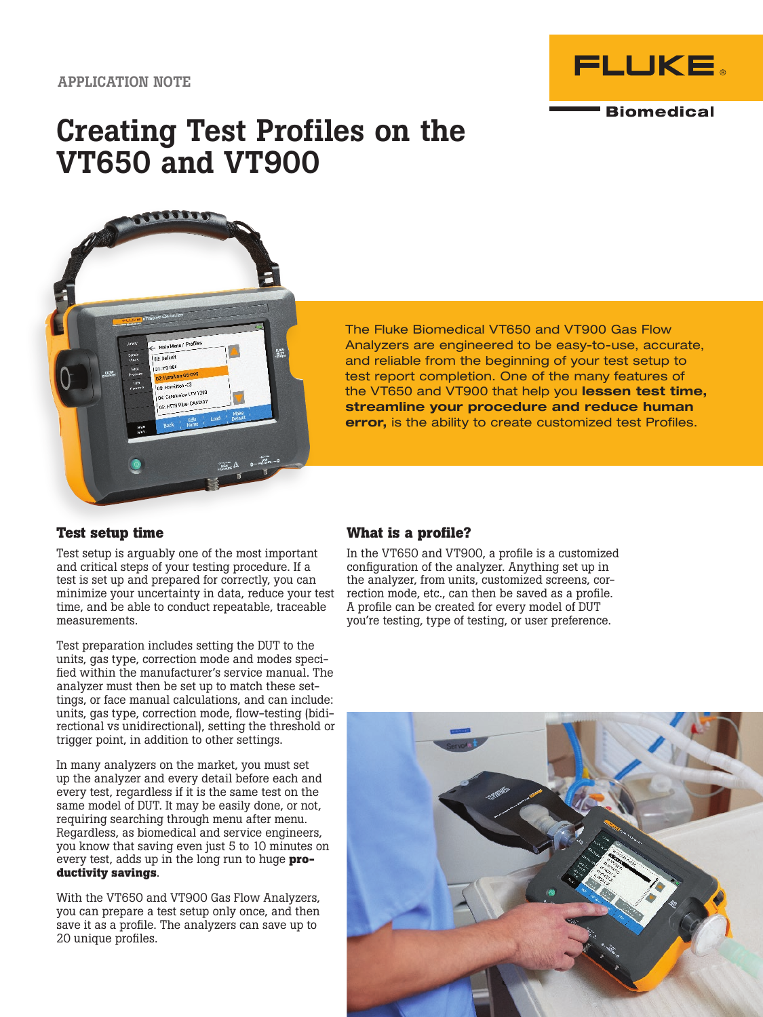

# Creating Test Profiles on the VT650 and VT900



The Fluke Biomedical VT650 and VT900 Gas Flow Analyzers are engineered to be easy-to-use, accurate, and reliable from the beginning of your test setup to test report completion. One of the many features of the VT650 and VT900 that help you lessen test time, streamline your procedure and reduce human error, is the ability to create customized test Profiles.

## **Test setup time**

Test setup is arguably one of the most important and critical steps of your testing procedure. If a test is set up and prepared for correctly, you can minimize your uncertainty in data, reduce your test time, and be able to conduct repeatable, traceable measurements.

Test preparation includes setting the DUT to the units, gas type, correction mode and modes specified within the manufacturer's service manual. The analyzer must then be set up to match these settings, or face manual calculations, and can include: units, gas type, correction mode, flow-testing (bidirectional vs unidirectional), setting the threshold or trigger point, in addition to other settings.

In many analyzers on the market, you must set up the analyzer and every detail before each and every test, regardless if it is the same test on the same model of DUT. It may be easily done, or not, requiring searching through menu after menu. Regardless, as biomedical and service engineers, you know that saving even just 5 to 10 minutes on every test, adds up in the long run to huge **productivity savings**.

With the VT650 and VT900 Gas Flow Analyzers, you can prepare a test setup only once, and then save it as a profile. The analyzers can save up to 20 unique profiles.

## **What is a profile?**

In the VT650 and VT900, a profile is a customized configuration of the analyzer. Anything set up in the analyzer, from units, customized screens, correction mode, etc., can then be saved as a profile. A profile can be created for every model of DUT you're testing, type of testing, or user preference.

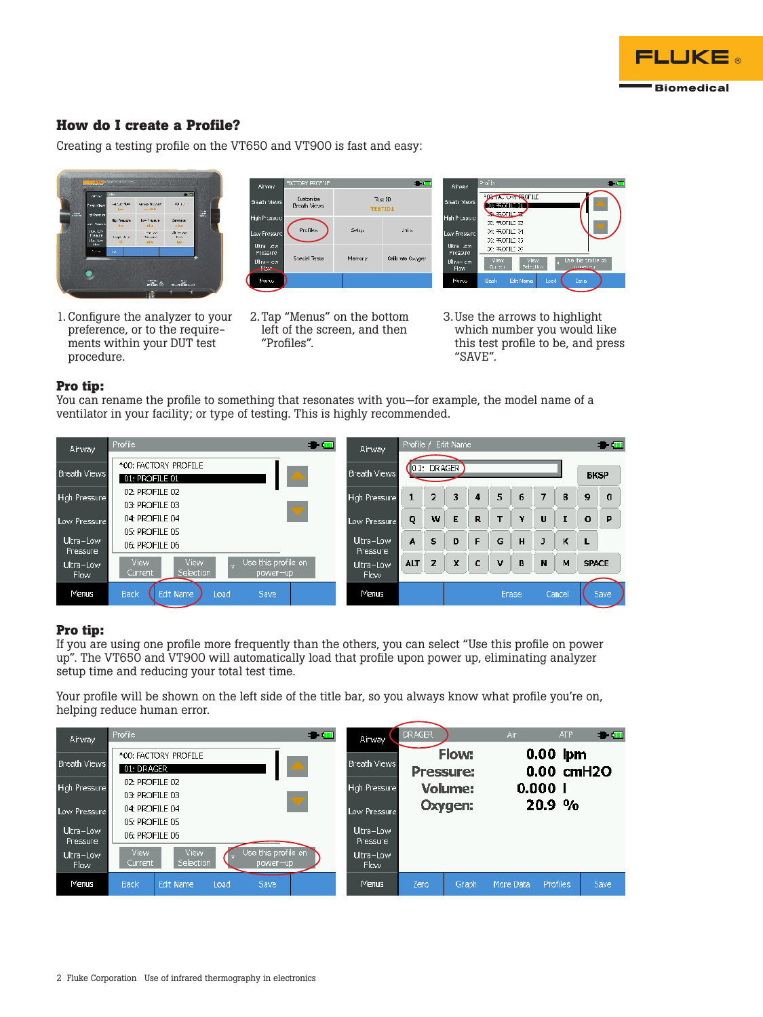

## **How do I create a Profile?**

Creating a testing profile on the VT650 and VT900 is fast and easy:



1. Configure the analyzer to your preference, or to the requirements within your DUT test procedure.



2. Tap "Menus" on the bottom left of the screen, and then "Profiles".



3. Use the arrows to highlight which number you would like this test profile to be, and press "SAVE".

#### **Pro tip:**

You can rename the profile to something that resonates with you—for example, the model name of a ventilator in your facility; or type of testing. This is highly recommended.



### **Pro tip:**

If you are using one profile more frequently than the others, you can select "Use this profile on power up". The VT650 and VT900 will automatically load that profile upon power up, eliminating analyzer setup time and reducing your total test time.

Your profile will be shown on the left side of the title bar, so you always know what profile you're on, helping reduce human error.

| <b>Airway</b>         | <b>Profile</b><br>$\bullet$ $\Box$                                                      | Airway                | DRAGER, |                    | Air       | <b>ATP</b>                    | $\blacksquare$ |
|-----------------------|-----------------------------------------------------------------------------------------|-----------------------|---------|--------------------|-----------|-------------------------------|----------------|
| <b>Breath Views</b>   | *00: FACTORY PROFILE<br>01: DRAGER                                                      | <b>Breath Views</b>   |         | Flow:<br>Pressure: |           | $0.00$ lpm<br>$0.00$ cm $H2O$ |                |
| High Pressure         | 02: PROFILE 02<br>03: PROFILE 03                                                        | <b>High Pressure</b>  |         | <b>Volume:</b>     |           | 0.0001                        |                |
| Low Pressure          | $\bm{\nabla}$<br>04: PROFILE 04                                                         | Low Pressure          |         | Oxygen:            |           | 20.9%                         |                |
| Ultra-Low<br>Pressure | 05: PROFILE 05<br>06: PROFILE 06                                                        | Ultra-Low<br>Pressure |         |                    |           |                               |                |
| Ultra-Low<br>Flow:    | Use this profile on<br><b>View</b><br><b>View</b><br>Selection<br>Current<br>$power-up$ | Ultra-Low<br>Flow     |         |                    |           |                               |                |
| Menus                 | Back<br>Edit Name<br>Load<br>Save                                                       | <b>Menus</b>          | Zero    | Graph              | More Data | Profiles                      | 5ave           |